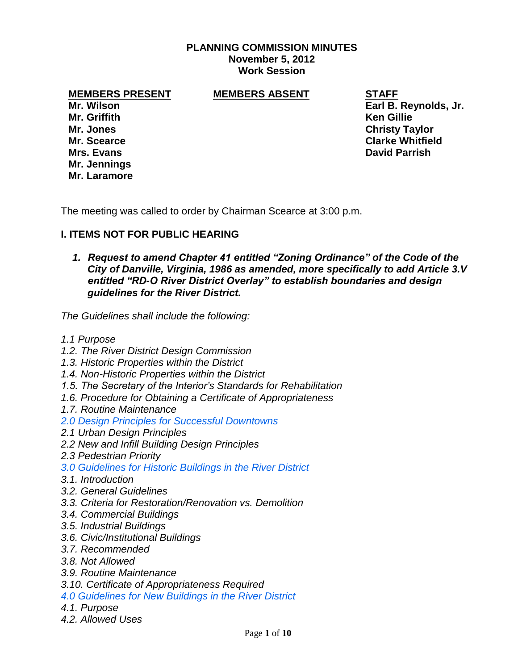### **PLANNING COMMISSION MINUTES November 5, 2012 Work Session**

### **MEMBERS PRESENT MEMBERS ABSENT STAFF**

**Mr. Griffith Ken Gillie Mrs. Evans David Parrish Mr. Jennings Mr. Laramore**

**Mr. Wilson Earl B. Reynolds, Jr. Mr. Jones Christy Taylor Mr. Scearce Clarke Whitfield**

The meeting was called to order by Chairman Scearce at 3:00 p.m.

# **I. ITEMS NOT FOR PUBLIC HEARING**

*1. Request to amend Chapter 41 entitled "Zoning Ordinance" of the Code of the City of Danville, Virginia, 1986 as amended, more specifically to add Article 3.V entitled "RD-O River District Overlay" to establish boundaries and design guidelines for the River District.* 

*The Guidelines shall include the following:*

- *1.1 Purpose*
- *1.2. The River District Design Commission*
- *1.3. Historic Properties within the District*
- *1.4. Non-Historic Properties within the District*
- *1.5. The Secretary of the Interior's Standards for Rehabilitation*
- *1.6. Procedure for Obtaining a Certificate of Appropriateness*
- *1.7. Routine Maintenance*
- *2.0 Design Principles for Successful Downtowns*
- *2.1 Urban Design Principles*
- *2.2 New and Infill Building Design Principles*
- *2.3 Pedestrian Priority*
- *3.0 Guidelines for Historic Buildings in the River District*
- *3.1. Introduction*
- *3.2. General Guidelines*
- *3.3. Criteria for Restoration/Renovation vs. Demolition*
- *3.4. Commercial Buildings*
- *3.5. Industrial Buildings*
- *3.6. Civic/Institutional Buildings*
- *3.7. Recommended*
- *3.8. Not Allowed*
- *3.9. Routine Maintenance*
- *3.10. Certificate of Appropriateness Required*
- *4.0 Guidelines for New Buildings in the River District*
- *4.1. Purpose*
- *4.2. Allowed Uses*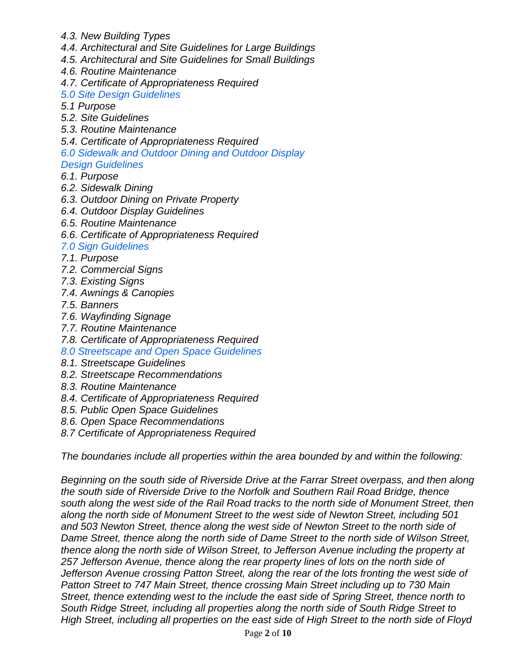- *4.3. New Building Types*
- *4.4. Architectural and Site Guidelines for Large Buildings*
- *4.5. Architectural and Site Guidelines for Small Buildings*
- *4.6. Routine Maintenance*
- *4.7. Certificate of Appropriateness Required*
- *5.0 Site Design Guidelines*
- *5.1 Purpose*
- *5.2. Site Guidelines*
- *5.3. Routine Maintenance*
- *5.4. Certificate of Appropriateness Required*
- *6.0 Sidewalk and Outdoor Dining and Outdoor Display*
- *Design Guidelines*
- *6.1. Purpose*
- *6.2. Sidewalk Dining*
- *6.3. Outdoor Dining on Private Property*
- *6.4. Outdoor Display Guidelines*
- *6.5. Routine Maintenance*
- *6.6. Certificate of Appropriateness Required*

# *7.0 Sign Guidelines*

- *7.1. Purpose*
- *7.2. Commercial Signs*
- *7.3. Existing Signs*
- *7.4. Awnings & Canopies*
- *7.5. Banners*
- *7.6. Wayfinding Signage*
- *7.7. Routine Maintenance*
- *7.8. Certificate of Appropriateness Required*
- *8.0 Streetscape and Open Space Guidelines*
- *8.1. Streetscape Guidelines*
- *8.2. Streetscape Recommendations*
- *8.3. Routine Maintenance*
- *8.4. Certificate of Appropriateness Required*
- *8.5. Public Open Space Guidelines*
- *8.6. Open Space Recommendations*
- *8.7 Certificate of Appropriateness Required*

*The boundaries include all properties within the area bounded by and within the following:*

*Beginning on the south side of Riverside Drive at the Farrar Street overpass, and then along the south side of Riverside Drive to the Norfolk and Southern Rail Road Bridge, thence south along the west side of the Rail Road tracks to the north side of Monument Street, then along the north side of Monument Street to the west side of Newton Street, including 501 and 503 Newton Street, thence along the west side of Newton Street to the north side of Dame Street, thence along the north side of Dame Street to the north side of Wilson Street, thence along the north side of Wilson Street, to Jefferson Avenue including the property at 257 Jefferson Avenue, thence along the rear property lines of lots on the north side of Jefferson Avenue crossing Patton Street, along the rear of the lots fronting the west side of Patton Street to 747 Main Street, thence crossing Main Street including up to 730 Main Street, thence extending west to the include the east side of Spring Street, thence north to South Ridge Street, including all properties along the north side of South Ridge Street to High Street, including all properties on the east side of High Street to the north side of Floyd*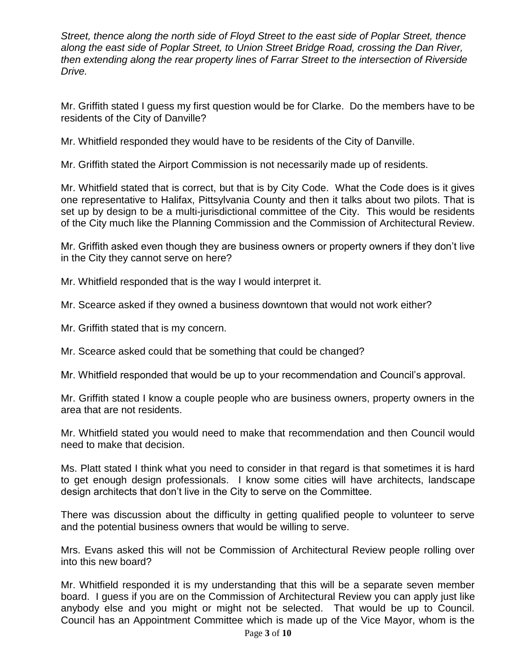*Street, thence along the north side of Floyd Street to the east side of Poplar Street, thence along the east side of Poplar Street, to Union Street Bridge Road, crossing the Dan River, then extending along the rear property lines of Farrar Street to the intersection of Riverside Drive.*

Mr. Griffith stated I guess my first question would be for Clarke. Do the members have to be residents of the City of Danville?

Mr. Whitfield responded they would have to be residents of the City of Danville.

Mr. Griffith stated the Airport Commission is not necessarily made up of residents.

Mr. Whitfield stated that is correct, but that is by City Code. What the Code does is it gives one representative to Halifax, Pittsylvania County and then it talks about two pilots. That is set up by design to be a multi-jurisdictional committee of the City. This would be residents of the City much like the Planning Commission and the Commission of Architectural Review.

Mr. Griffith asked even though they are business owners or property owners if they don't live in the City they cannot serve on here?

Mr. Whitfield responded that is the way I would interpret it.

Mr. Scearce asked if they owned a business downtown that would not work either?

Mr. Griffith stated that is my concern.

Mr. Scearce asked could that be something that could be changed?

Mr. Whitfield responded that would be up to your recommendation and Council's approval.

Mr. Griffith stated I know a couple people who are business owners, property owners in the area that are not residents.

Mr. Whitfield stated you would need to make that recommendation and then Council would need to make that decision.

Ms. Platt stated I think what you need to consider in that regard is that sometimes it is hard to get enough design professionals. I know some cities will have architects, landscape design architects that don't live in the City to serve on the Committee.

There was discussion about the difficulty in getting qualified people to volunteer to serve and the potential business owners that would be willing to serve.

Mrs. Evans asked this will not be Commission of Architectural Review people rolling over into this new board?

Mr. Whitfield responded it is my understanding that this will be a separate seven member board. I guess if you are on the Commission of Architectural Review you can apply just like anybody else and you might or might not be selected. That would be up to Council. Council has an Appointment Committee which is made up of the Vice Mayor, whom is the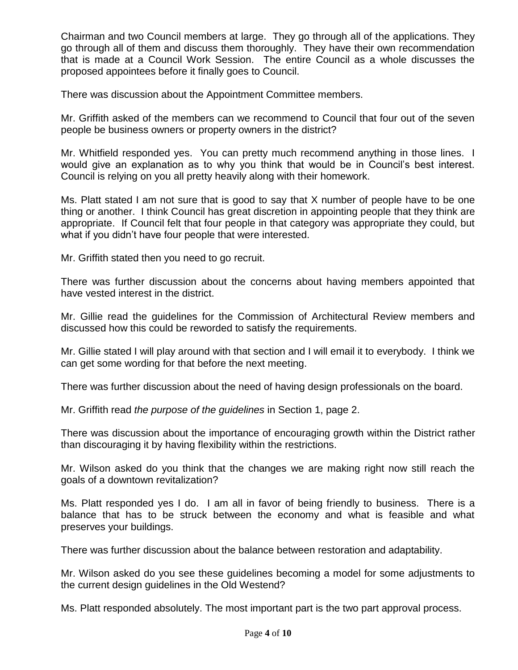Chairman and two Council members at large. They go through all of the applications. They go through all of them and discuss them thoroughly. They have their own recommendation that is made at a Council Work Session. The entire Council as a whole discusses the proposed appointees before it finally goes to Council.

There was discussion about the Appointment Committee members.

Mr. Griffith asked of the members can we recommend to Council that four out of the seven people be business owners or property owners in the district?

Mr. Whitfield responded yes. You can pretty much recommend anything in those lines. I would give an explanation as to why you think that would be in Council's best interest. Council is relying on you all pretty heavily along with their homework.

Ms. Platt stated I am not sure that is good to say that X number of people have to be one thing or another. I think Council has great discretion in appointing people that they think are appropriate. If Council felt that four people in that category was appropriate they could, but what if you didn't have four people that were interested.

Mr. Griffith stated then you need to go recruit.

There was further discussion about the concerns about having members appointed that have vested interest in the district.

Mr. Gillie read the guidelines for the Commission of Architectural Review members and discussed how this could be reworded to satisfy the requirements.

Mr. Gillie stated I will play around with that section and I will email it to everybody. I think we can get some wording for that before the next meeting.

There was further discussion about the need of having design professionals on the board.

Mr. Griffith read *the purpose of the guidelines* in Section 1, page 2.

There was discussion about the importance of encouraging growth within the District rather than discouraging it by having flexibility within the restrictions.

Mr. Wilson asked do you think that the changes we are making right now still reach the goals of a downtown revitalization?

Ms. Platt responded yes I do. I am all in favor of being friendly to business. There is a balance that has to be struck between the economy and what is feasible and what preserves your buildings.

There was further discussion about the balance between restoration and adaptability.

Mr. Wilson asked do you see these guidelines becoming a model for some adjustments to the current design guidelines in the Old Westend?

Ms. Platt responded absolutely. The most important part is the two part approval process.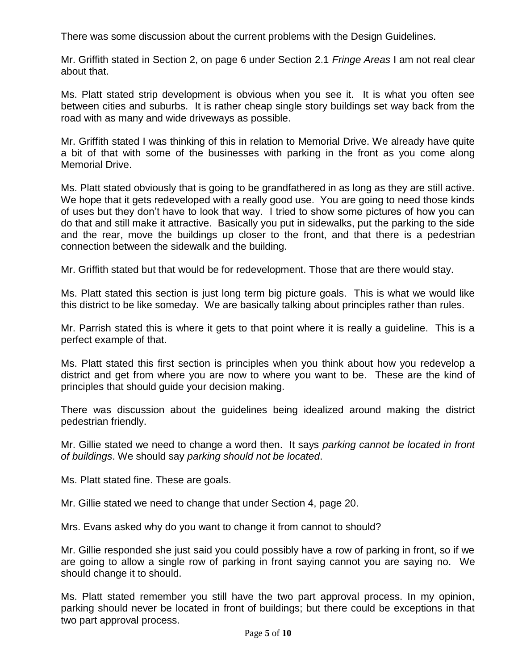There was some discussion about the current problems with the Design Guidelines.

Mr. Griffith stated in Section 2, on page 6 under Section 2.1 *Fringe Areas* I am not real clear about that.

Ms. Platt stated strip development is obvious when you see it. It is what you often see between cities and suburbs. It is rather cheap single story buildings set way back from the road with as many and wide driveways as possible.

Mr. Griffith stated I was thinking of this in relation to Memorial Drive. We already have quite a bit of that with some of the businesses with parking in the front as you come along Memorial Drive.

Ms. Platt stated obviously that is going to be grandfathered in as long as they are still active. We hope that it gets redeveloped with a really good use. You are going to need those kinds of uses but they don't have to look that way. I tried to show some pictures of how you can do that and still make it attractive. Basically you put in sidewalks, put the parking to the side and the rear, move the buildings up closer to the front, and that there is a pedestrian connection between the sidewalk and the building.

Mr. Griffith stated but that would be for redevelopment. Those that are there would stay.

Ms. Platt stated this section is just long term big picture goals. This is what we would like this district to be like someday. We are basically talking about principles rather than rules.

Mr. Parrish stated this is where it gets to that point where it is really a guideline. This is a perfect example of that.

Ms. Platt stated this first section is principles when you think about how you redevelop a district and get from where you are now to where you want to be. These are the kind of principles that should guide your decision making.

There was discussion about the guidelines being idealized around making the district pedestrian friendly.

Mr. Gillie stated we need to change a word then. It says *parking cannot be located in front of buildings*. We should say *parking should not be located*.

Ms. Platt stated fine. These are goals.

Mr. Gillie stated we need to change that under Section 4, page 20.

Mrs. Evans asked why do you want to change it from cannot to should?

Mr. Gillie responded she just said you could possibly have a row of parking in front, so if we are going to allow a single row of parking in front saying cannot you are saying no. We should change it to should.

Ms. Platt stated remember you still have the two part approval process. In my opinion, parking should never be located in front of buildings; but there could be exceptions in that two part approval process.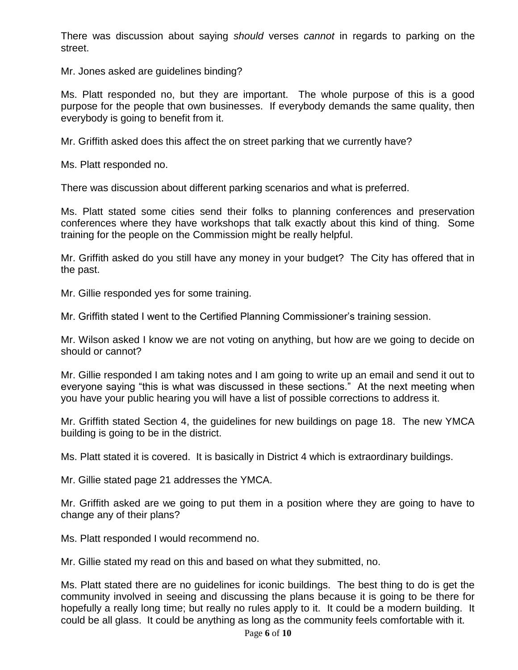There was discussion about saying *should* verses *cannot* in regards to parking on the street.

Mr. Jones asked are guidelines binding?

Ms. Platt responded no, but they are important. The whole purpose of this is a good purpose for the people that own businesses. If everybody demands the same quality, then everybody is going to benefit from it.

Mr. Griffith asked does this affect the on street parking that we currently have?

Ms. Platt responded no.

There was discussion about different parking scenarios and what is preferred.

Ms. Platt stated some cities send their folks to planning conferences and preservation conferences where they have workshops that talk exactly about this kind of thing. Some training for the people on the Commission might be really helpful.

Mr. Griffith asked do you still have any money in your budget? The City has offered that in the past.

Mr. Gillie responded yes for some training.

Mr. Griffith stated I went to the Certified Planning Commissioner's training session.

Mr. Wilson asked I know we are not voting on anything, but how are we going to decide on should or cannot?

Mr. Gillie responded I am taking notes and I am going to write up an email and send it out to everyone saying "this is what was discussed in these sections." At the next meeting when you have your public hearing you will have a list of possible corrections to address it.

Mr. Griffith stated Section 4, the guidelines for new buildings on page 18. The new YMCA building is going to be in the district.

Ms. Platt stated it is covered. It is basically in District 4 which is extraordinary buildings.

Mr. Gillie stated page 21 addresses the YMCA.

Mr. Griffith asked are we going to put them in a position where they are going to have to change any of their plans?

Ms. Platt responded I would recommend no.

Mr. Gillie stated my read on this and based on what they submitted, no.

Ms. Platt stated there are no guidelines for iconic buildings. The best thing to do is get the community involved in seeing and discussing the plans because it is going to be there for hopefully a really long time; but really no rules apply to it. It could be a modern building. It could be all glass. It could be anything as long as the community feels comfortable with it.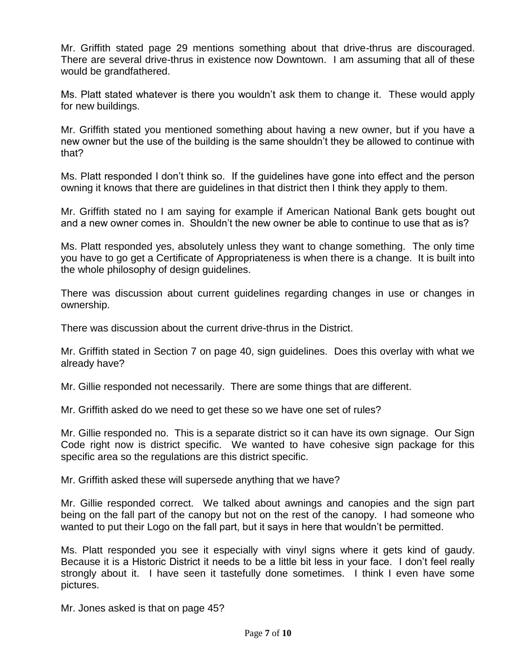Mr. Griffith stated page 29 mentions something about that drive-thrus are discouraged. There are several drive-thrus in existence now Downtown. I am assuming that all of these would be grandfathered.

Ms. Platt stated whatever is there you wouldn't ask them to change it. These would apply for new buildings.

Mr. Griffith stated you mentioned something about having a new owner, but if you have a new owner but the use of the building is the same shouldn't they be allowed to continue with that?

Ms. Platt responded I don't think so. If the guidelines have gone into effect and the person owning it knows that there are guidelines in that district then I think they apply to them.

Mr. Griffith stated no I am saying for example if American National Bank gets bought out and a new owner comes in. Shouldn't the new owner be able to continue to use that as is?

Ms. Platt responded yes, absolutely unless they want to change something. The only time you have to go get a Certificate of Appropriateness is when there is a change. It is built into the whole philosophy of design guidelines.

There was discussion about current guidelines regarding changes in use or changes in ownership.

There was discussion about the current drive-thrus in the District.

Mr. Griffith stated in Section 7 on page 40, sign guidelines. Does this overlay with what we already have?

Mr. Gillie responded not necessarily. There are some things that are different.

Mr. Griffith asked do we need to get these so we have one set of rules?

Mr. Gillie responded no. This is a separate district so it can have its own signage. Our Sign Code right now is district specific. We wanted to have cohesive sign package for this specific area so the regulations are this district specific.

Mr. Griffith asked these will supersede anything that we have?

Mr. Gillie responded correct. We talked about awnings and canopies and the sign part being on the fall part of the canopy but not on the rest of the canopy. I had someone who wanted to put their Logo on the fall part, but it says in here that wouldn't be permitted.

Ms. Platt responded you see it especially with vinyl signs where it gets kind of gaudy. Because it is a Historic District it needs to be a little bit less in your face. I don't feel really strongly about it. I have seen it tastefully done sometimes. I think I even have some pictures.

Mr. Jones asked is that on page 45?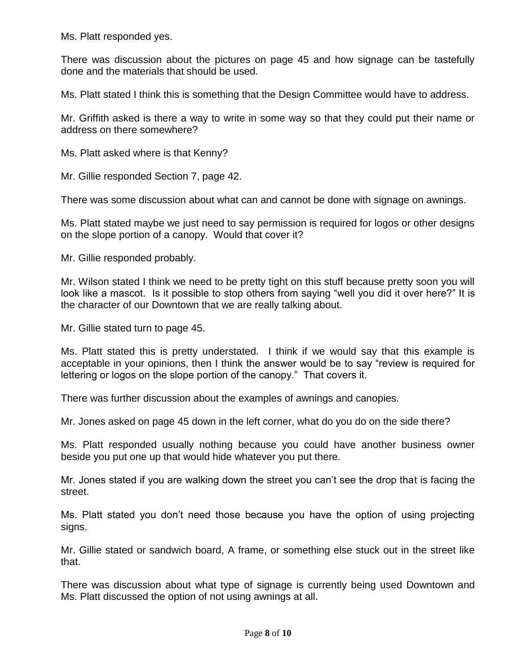Ms. Platt responded yes.

There was discussion about the pictures on page 45 and how signage can be tastefully done and the materials that should be used.

Ms. Platt stated I think this is something that the Design Committee would have to address.

Mr. Griffith asked is there a way to write in some way so that they could put their name or address on there somewhere?

Ms. Platt asked where is that Kenny?

Mr. Gillie responded Section 7, page 42.

There was some discussion about what can and cannot be done with signage on awnings.

Ms. Platt stated maybe we just need to say permission is required for logos or other designs on the slope portion of a canopy. Would that cover it?

Mr. Gillie responded probably.

Mr. Wilson stated I think we need to be pretty tight on this stuff because pretty soon you will look like a mascot. Is it possible to stop others from saying "well you did it over here?" It is the character of our Downtown that we are really talking about.

Mr. Gillie stated turn to page 45.

Ms. Platt stated this is pretty understated. I think if we would say that this example is acceptable in your opinions, then I think the answer would be to say "review is required for lettering or logos on the slope portion of the canopy." That covers it.

There was further discussion about the examples of awnings and canopies.

Mr. Jones asked on page 45 down in the left corner, what do you do on the side there?

Ms. Platt responded usually nothing because you could have another business owner beside you put one up that would hide whatever you put there.

Mr. Jones stated if you are walking down the street you can't see the drop that is facing the street.

Ms. Platt stated you don't need those because you have the option of using projecting signs.

Mr. Gillie stated or sandwich board, A frame, or something else stuck out in the street like that.

There was discussion about what type of signage is currently being used Downtown and Ms. Platt discussed the option of not using awnings at all.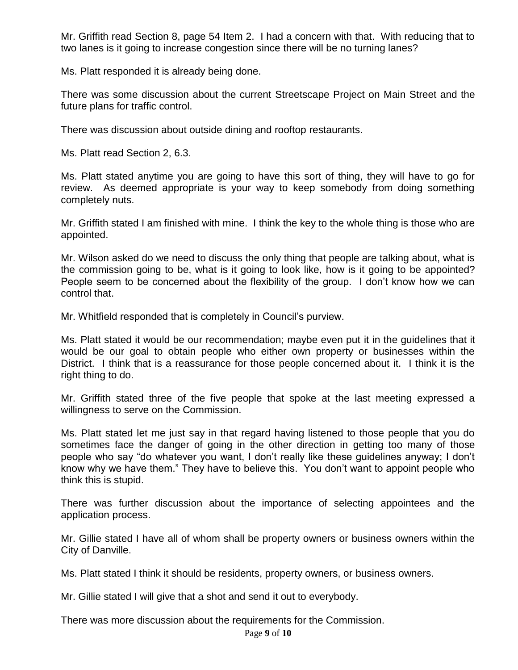Mr. Griffith read Section 8, page 54 Item 2. I had a concern with that. With reducing that to two lanes is it going to increase congestion since there will be no turning lanes?

Ms. Platt responded it is already being done.

There was some discussion about the current Streetscape Project on Main Street and the future plans for traffic control.

There was discussion about outside dining and rooftop restaurants.

Ms. Platt read Section 2, 6.3.

Ms. Platt stated anytime you are going to have this sort of thing, they will have to go for review. As deemed appropriate is your way to keep somebody from doing something completely nuts.

Mr. Griffith stated I am finished with mine. I think the key to the whole thing is those who are appointed.

Mr. Wilson asked do we need to discuss the only thing that people are talking about, what is the commission going to be, what is it going to look like, how is it going to be appointed? People seem to be concerned about the flexibility of the group. I don't know how we can control that.

Mr. Whitfield responded that is completely in Council's purview.

Ms. Platt stated it would be our recommendation; maybe even put it in the guidelines that it would be our goal to obtain people who either own property or businesses within the District. I think that is a reassurance for those people concerned about it. I think it is the right thing to do.

Mr. Griffith stated three of the five people that spoke at the last meeting expressed a willingness to serve on the Commission.

Ms. Platt stated let me just say in that regard having listened to those people that you do sometimes face the danger of going in the other direction in getting too many of those people who say "do whatever you want, I don't really like these guidelines anyway; I don't know why we have them." They have to believe this. You don't want to appoint people who think this is stupid.

There was further discussion about the importance of selecting appointees and the application process.

Mr. Gillie stated I have all of whom shall be property owners or business owners within the City of Danville.

Ms. Platt stated I think it should be residents, property owners, or business owners.

Mr. Gillie stated I will give that a shot and send it out to everybody.

There was more discussion about the requirements for the Commission.